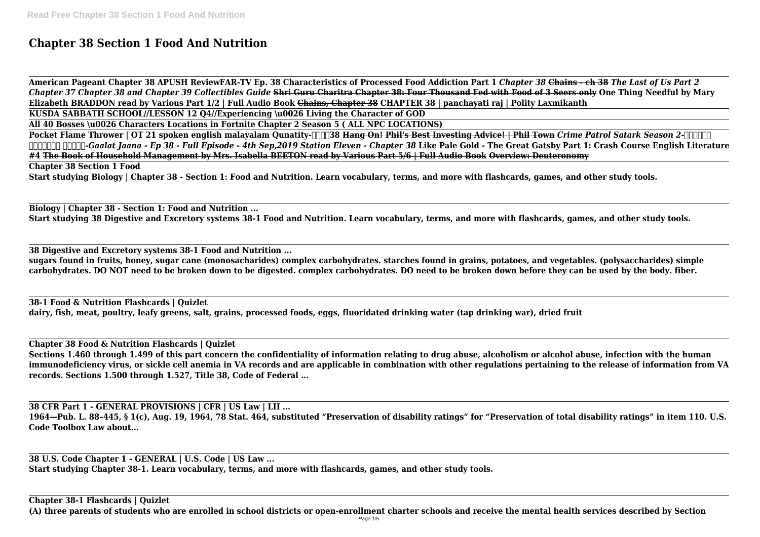# **Chapter 38 Section 1 Food And Nutrition**

**American Pageant Chapter 38 APUSH ReviewFAR-TV Ep. 38 Characteristics of Processed Food Addiction Part 1** *Chapter 38* **Chains - ch 38** *The Last of Us Part 2 Chapter 37 Chapter 38 and Chapter 39 Collectibles Guide* **Shri Guru Charitra Chapter 38: Four Thousand Fed with Food of 3 Seers only One Thing Needful by Mary Elizabeth BRADDON read by Various Part 1/2 | Full Audio Book Chains, Chapter 38 CHAPTER 38 | panchayati raj | Polity Laxmikanth KUSDA SABBATH SCHOOL//LESSON 12 Q4//Experiencing \u0026 Living the Character of GOD**

**Pocket Flame Thrower | OT 21 spoken english malayalam Qunatity-** $\pi$  **38 Hang On! Phil's Best Investing Advice! | Phil Town** *Crime Patrol Satark Season 2-पेट्रोल सतर्क-Gaalat Jaana - Ep 38 - Full Episode - 4th Sep,2019 Station Eleven - Chapter 38* **Like Pale Gold - The Great Gatsby Part 1: Crash Course English Literature #4 The Book of Household Management by Mrs. Isabella BEETON read by Various Part 5/6 | Full Audio Book Overview: Deuteronomy Chapter 38 Section 1 Food**

**All 40 Bosses \u0026 Characters Locations in Fortnite Chapter 2 Season 5 ( ALL NPC LOCATIONS)**

**Start studying Biology | Chapter 38 - Section 1: Food and Nutrition. Learn vocabulary, terms, and more with flashcards, games, and other study tools.**

**Biology | Chapter 38 - Section 1: Food and Nutrition ...**

**Start studying 38 Digestive and Excretory systems 38-1 Food and Nutrition. Learn vocabulary, terms, and more with flashcards, games, and other study tools.**

**38 Digestive and Excretory systems 38-1 Food and Nutrition ...**

**sugars found in fruits, honey, sugar cane (monosacharides) complex carbohydrates. starches found in grains, potatoes, and vegetables. (polysaccharides) simple carbohydrates. DO NOT need to be broken down to be digested. complex carbohydrates. DO need to be broken down before they can be used by the body. fiber.**

**38-1 Food & Nutrition Flashcards | Quizlet dairy, fish, meat, poultry, leafy greens, salt, grains, processed foods, eggs, fluoridated drinking water (tap drinking war), dried fruit**

**Chapter 38 Food & Nutrition Flashcards | Quizlet**

**Sections 1.460 through 1.499 of this part concern the confidentiality of information relating to drug abuse, alcoholism or alcohol abuse, infection with the human immunodeficiency virus, or sickle cell anemia in VA records and are applicable in combination with other regulations pertaining to the release of information from VA records. Sections 1.500 through 1.527, Title 38, Code of Federal ...**

**38 CFR Part 1 - GENERAL PROVISIONS | CFR | US Law | LII ... 1964—Pub. L. 88–445, § 1(c), Aug. 19, 1964, 78 Stat. 464, substituted "Preservation of disability ratings" for "Preservation of total disability ratings" in item 110. U.S. Code Toolbox Law about...**

**38 U.S. Code Chapter 1 - GENERAL | U.S. Code | US Law ... Start studying Chapter 38-1. Learn vocabulary, terms, and more with flashcards, games, and other study tools.**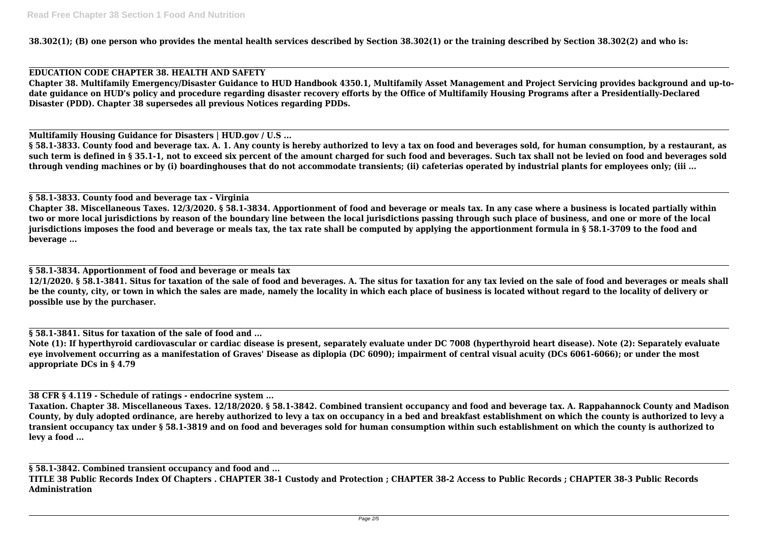**38.302(1); (B) one person who provides the mental health services described by Section 38.302(1) or the training described by Section 38.302(2) and who is:**

# **EDUCATION CODE CHAPTER 38. HEALTH AND SAFETY**

**Chapter 38. Multifamily Emergency/Disaster Guidance to HUD Handbook 4350.1, Multifamily Asset Management and Project Servicing provides background and up-todate guidance on HUD's policy and procedure regarding disaster recovery efforts by the Office of Multifamily Housing Programs after a Presidentially-Declared Disaster (PDD). Chapter 38 supersedes all previous Notices regarding PDDs.**

**Multifamily Housing Guidance for Disasters | HUD.gov / U.S ...**

**§ 58.1-3833. County food and beverage tax. A. 1. Any county is hereby authorized to levy a tax on food and beverages sold, for human consumption, by a restaurant, as such term is defined in § 35.1-1, not to exceed six percent of the amount charged for such food and beverages. Such tax shall not be levied on food and beverages sold through vending machines or by (i) boardinghouses that do not accommodate transients; (ii) cafeterias operated by industrial plants for employees only; (iii ...**

# **§ 58.1-3833. County food and beverage tax - Virginia**

**Chapter 38. Miscellaneous Taxes. 12/3/2020. § 58.1-3834. Apportionment of food and beverage or meals tax. In any case where a business is located partially within two or more local jurisdictions by reason of the boundary line between the local jurisdictions passing through such place of business, and one or more of the local jurisdictions imposes the food and beverage or meals tax, the tax rate shall be computed by applying the apportionment formula in § 58.1-3709 to the food and beverage ...**

**§ 58.1-3834. Apportionment of food and beverage or meals tax**

**12/1/2020. § 58.1-3841. Situs for taxation of the sale of food and beverages. A. The situs for taxation for any tax levied on the sale of food and beverages or meals shall be the county, city, or town in which the sales are made, namely the locality in which each place of business is located without regard to the locality of delivery or possible use by the purchaser.**

**§ 58.1-3841. Situs for taxation of the sale of food and ...**

**Note (1): If hyperthyroid cardiovascular or cardiac disease is present, separately evaluate under DC 7008 (hyperthyroid heart disease). Note (2): Separately evaluate eye involvement occurring as a manifestation of Graves' Disease as diplopia (DC 6090); impairment of central visual acuity (DCs 6061-6066); or under the most appropriate DCs in § 4.79**

**38 CFR § 4.119 - Schedule of ratings - endocrine system ...**

**Taxation. Chapter 38. Miscellaneous Taxes. 12/18/2020. § 58.1-3842. Combined transient occupancy and food and beverage tax. A. Rappahannock County and Madison County, by duly adopted ordinance, are hereby authorized to levy a tax on occupancy in a bed and breakfast establishment on which the county is authorized to levy a transient occupancy tax under § 58.1-3819 and on food and beverages sold for human consumption within such establishment on which the county is authorized to levy a food ...**

**§ 58.1-3842. Combined transient occupancy and food and ... TITLE 38 Public Records Index Of Chapters . CHAPTER 38-1 Custody and Protection ; CHAPTER 38-2 Access to Public Records ; CHAPTER 38-3 Public Records Administration**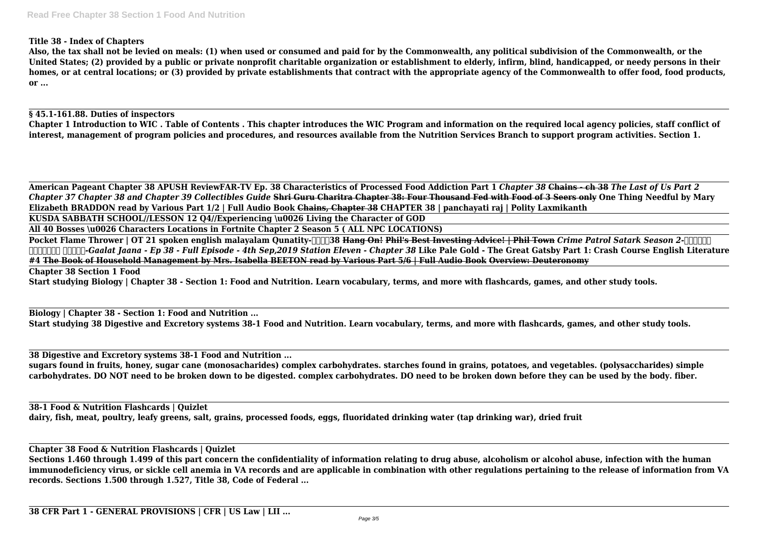# **Title 38 - Index of Chapters**

**Also, the tax shall not be levied on meals: (1) when used or consumed and paid for by the Commonwealth, any political subdivision of the Commonwealth, or the United States; (2) provided by a public or private nonprofit charitable organization or establishment to elderly, infirm, blind, handicapped, or needy persons in their homes, or at central locations; or (3) provided by private establishments that contract with the appropriate agency of the Commonwealth to offer food, food products, or ...**

## **§ 45.1-161.88. Duties of inspectors**

**Chapter 1 Introduction to WIC . Table of Contents . This chapter introduces the WIC Program and information on the required local agency policies, staff conflict of interest, management of program policies and procedures, and resources available from the Nutrition Services Branch to support program activities. Section 1.**

**Pocket Flame Thrower | OT 21 spoken english malayalam Qunatity-** $\text{Tr}38$  **Hang On! Phil's Best Investing Advice! | Phil Town** *Crime Patrol Satark Season 2-पेट्रोल सतर्क-Gaalat Jaana - Ep 38 - Full Episode - 4th Sep,2019 Station Eleven - Chapter 38* **Like Pale Gold - The Great Gatsby Part 1: Crash Course English Literature #4 The Book of Household Management by Mrs. Isabella BEETON read by Various Part 5/6 | Full Audio Book Overview: Deuteronomy Chapter 38 Section 1 Food**

**American Pageant Chapter 38 APUSH ReviewFAR-TV Ep. 38 Characteristics of Processed Food Addiction Part 1** *Chapter 38* **Chains - ch 38** *The Last of Us Part 2 Chapter 37 Chapter 38 and Chapter 39 Collectibles Guide* **Shri Guru Charitra Chapter 38: Four Thousand Fed with Food of 3 Seers only One Thing Needful by Mary Elizabeth BRADDON read by Various Part 1/2 | Full Audio Book Chains, Chapter 38 CHAPTER 38 | panchayati raj | Polity Laxmikanth KUSDA SABBATH SCHOOL//LESSON 12 Q4//Experiencing \u0026 Living the Character of GOD**

**All 40 Bosses \u0026 Characters Locations in Fortnite Chapter 2 Season 5 ( ALL NPC LOCATIONS)**

**Start studying Biology | Chapter 38 - Section 1: Food and Nutrition. Learn vocabulary, terms, and more with flashcards, games, and other study tools.**

**Biology | Chapter 38 - Section 1: Food and Nutrition ... Start studying 38 Digestive and Excretory systems 38-1 Food and Nutrition. Learn vocabulary, terms, and more with flashcards, games, and other study tools.**

**38 Digestive and Excretory systems 38-1 Food and Nutrition ...**

**sugars found in fruits, honey, sugar cane (monosacharides) complex carbohydrates. starches found in grains, potatoes, and vegetables. (polysaccharides) simple carbohydrates. DO NOT need to be broken down to be digested. complex carbohydrates. DO need to be broken down before they can be used by the body. fiber.**

**38-1 Food & Nutrition Flashcards | Quizlet dairy, fish, meat, poultry, leafy greens, salt, grains, processed foods, eggs, fluoridated drinking water (tap drinking war), dried fruit**

**Chapter 38 Food & Nutrition Flashcards | Quizlet**

**Sections 1.460 through 1.499 of this part concern the confidentiality of information relating to drug abuse, alcoholism or alcohol abuse, infection with the human immunodeficiency virus, or sickle cell anemia in VA records and are applicable in combination with other regulations pertaining to the release of information from VA records. Sections 1.500 through 1.527, Title 38, Code of Federal ...**

**38 CFR Part 1 - GENERAL PROVISIONS | CFR | US Law | LII ...**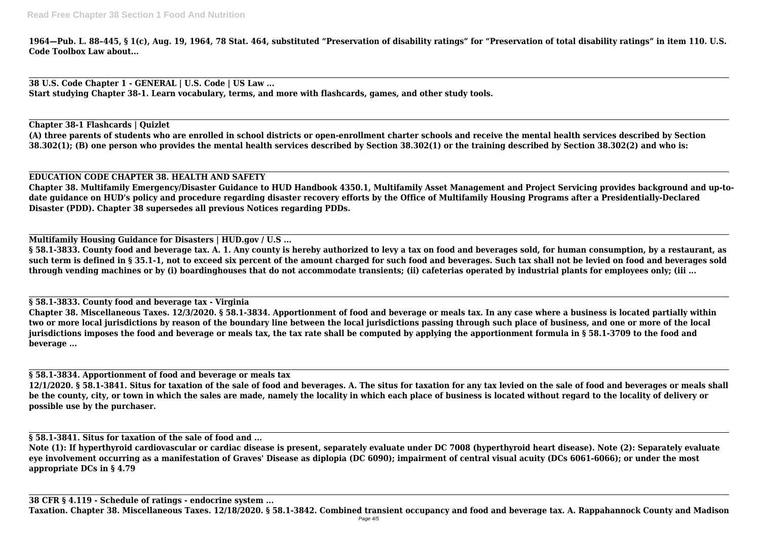**1964—Pub. L. 88–445, § 1(c), Aug. 19, 1964, 78 Stat. 464, substituted "Preservation of disability ratings" for "Preservation of total disability ratings" in item 110. U.S. Code Toolbox Law about...**

**38 U.S. Code Chapter 1 - GENERAL | U.S. Code | US Law ... Start studying Chapter 38-1. Learn vocabulary, terms, and more with flashcards, games, and other study tools.**

**Chapter 38-1 Flashcards | Quizlet (A) three parents of students who are enrolled in school districts or open-enrollment charter schools and receive the mental health services described by Section 38.302(1); (B) one person who provides the mental health services described by Section 38.302(1) or the training described by Section 38.302(2) and who is:**

# **EDUCATION CODE CHAPTER 38. HEALTH AND SAFETY**

**Chapter 38. Multifamily Emergency/Disaster Guidance to HUD Handbook 4350.1, Multifamily Asset Management and Project Servicing provides background and up-todate guidance on HUD's policy and procedure regarding disaster recovery efforts by the Office of Multifamily Housing Programs after a Presidentially-Declared Disaster (PDD). Chapter 38 supersedes all previous Notices regarding PDDs.**

**Multifamily Housing Guidance for Disasters | HUD.gov / U.S ...**

**§ 58.1-3833. County food and beverage tax. A. 1. Any county is hereby authorized to levy a tax on food and beverages sold, for human consumption, by a restaurant, as such term is defined in § 35.1-1, not to exceed six percent of the amount charged for such food and beverages. Such tax shall not be levied on food and beverages sold through vending machines or by (i) boardinghouses that do not accommodate transients; (ii) cafeterias operated by industrial plants for employees only; (iii ...**

**§ 58.1-3833. County food and beverage tax - Virginia**

**Chapter 38. Miscellaneous Taxes. 12/3/2020. § 58.1-3834. Apportionment of food and beverage or meals tax. In any case where a business is located partially within two or more local jurisdictions by reason of the boundary line between the local jurisdictions passing through such place of business, and one or more of the local jurisdictions imposes the food and beverage or meals tax, the tax rate shall be computed by applying the apportionment formula in § 58.1-3709 to the food and beverage ...**

**§ 58.1-3834. Apportionment of food and beverage or meals tax**

**12/1/2020. § 58.1-3841. Situs for taxation of the sale of food and beverages. A. The situs for taxation for any tax levied on the sale of food and beverages or meals shall be the county, city, or town in which the sales are made, namely the locality in which each place of business is located without regard to the locality of delivery or possible use by the purchaser.**

**§ 58.1-3841. Situs for taxation of the sale of food and ...**

**Note (1): If hyperthyroid cardiovascular or cardiac disease is present, separately evaluate under DC 7008 (hyperthyroid heart disease). Note (2): Separately evaluate eye involvement occurring as a manifestation of Graves' Disease as diplopia (DC 6090); impairment of central visual acuity (DCs 6061-6066); or under the most appropriate DCs in § 4.79**